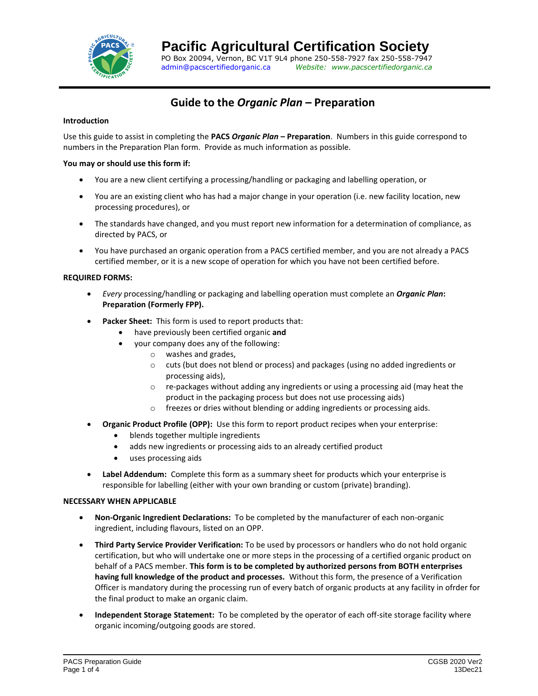

# **Guide to the** *Organic Plan* **– Preparation**

# **Introduction**

Use this guide to assist in completing the **PACS** *Organic Plan* **– Preparation**. Numbers in this guide correspond to numbers in the Preparation Plan form. Provide as much information as possible.

# **You may or should use this form if:**

- You are a new client certifying a processing/handling or packaging and labelling operation, or
- You are an existing client who has had a major change in your operation (i.e. new facility location, new processing procedures), or
- The standards have changed, and you must report new information for a determination of compliance, as directed by PACS, or
- You have purchased an organic operation from a PACS certified member, and you are not already a PACS certified member, or it is a new scope of operation for which you have not been certified before.

## **REQUIRED FORMS:**

- *Every* processing/handling or packaging and labelling operation must complete an *Organic Plan***: Preparation (Formerly FPP).**
- Packer Sheet: This form is used to report products that:
	- have previously been certified organic **and**
		- your company does any of the following:
			- o washes and grades,
			- $\circ$  cuts (but does not blend or process) and packages (using no added ingredients or processing aids),
			- $\circ$  re-packages without adding any ingredients or using a processing aid (may heat the product in the packaging process but does not use processing aids)
			- o freezes or dries without blending or adding ingredients or processing aids.
- **Organic Product Profile (OPP):** Use this form to report product recipes when your enterprise:
	- blends together multiple ingredients
	- adds new ingredients or processing aids to an already certified product
	- uses processing aids
- **Label Addendum:** Complete this form as a summary sheet for products which your enterprise is responsible for labelling (either with your own branding or custom (private) branding).

### **NECESSARY WHEN APPLICABLE**

- **Non-Organic Ingredient Declarations:** To be completed by the manufacturer of each non-organic ingredient, including flavours, listed on an OPP.
- **Third Party Service Provider Verification:** To be used by processors or handlers who do not hold organic certification, but who will undertake one or more steps in the processing of a certified organic product on behalf of a PACS member. **This form is to be completed by authorized persons from BOTH enterprises having full knowledge of the product and processes.** Without this form, the presence of a Verification Officer is mandatory during the processing run of every batch of organic products at any facility in ofrder for the final product to make an organic claim.
- **Independent Storage Statement:** To be completed by the operator of each off-site storage facility where organic incoming/outgoing goods are stored.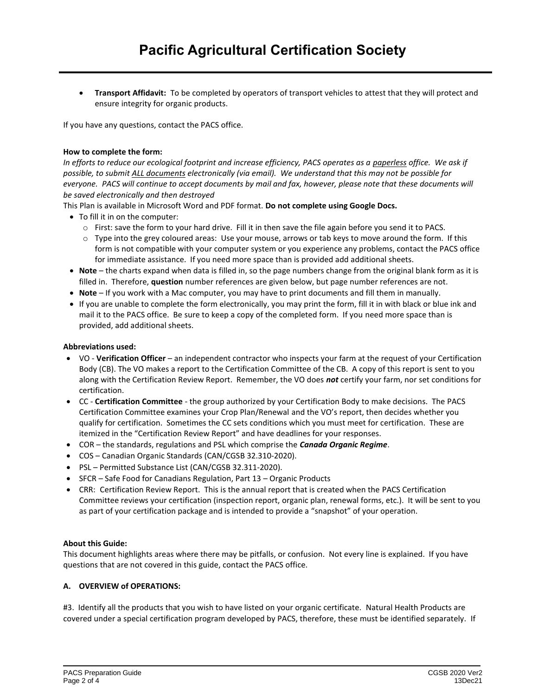• **Transport Affidavit:** To be completed by operators of transport vehicles to attest that they will protect and ensure integrity for organic products.

If you have any questions, contact the PACS office.

## **How to complete the form:**

*In efforts to reduce our ecological footprint and increase efficiency, PACS operates as a paperless office. We ask if possible, to submit ALL documents electronically (via email). We understand that this may not be possible for everyone. PACS will continue to accept documents by mail and fax, however, please note that these documents will be saved electronically and then destroyed*

This Plan is available in Microsoft Word and PDF format. **Do not complete using Google Docs.**

- To fill it in on the computer:
	- o First: save the form to your hard drive. Fill it in then save the file again before you send it to PACS.
	- $\circ$  Type into the grey coloured areas: Use your mouse, arrows or tab keys to move around the form. If this form is not compatible with your computer system or you experience any problems, contact the PACS office for immediate assistance. If you need more space than is provided add additional sheets.
- **Note** the charts expand when data is filled in, so the page numbers change from the original blank form as it is filled in. Therefore, **question** number references are given below, but page number references are not.
- **Note** If you work with a Mac computer, you may have to print documents and fill them in manually.
- If you are unable to complete the form electronically, you may print the form, fill it in with black or blue ink and mail it to the PACS office. Be sure to keep a copy of the completed form. If you need more space than is provided, add additional sheets.

## **Abbreviations used:**

- VO **Verification Officer**  an independent contractor who inspects your farm at the request of your Certification Body (CB). The VO makes a report to the Certification Committee of the CB. A copy of this report is sent to you along with the Certification Review Report. Remember, the VO does *not* certify your farm, nor set conditions for certification.
- CC **Certification Committee** the group authorized by your Certification Body to make decisions. The PACS Certification Committee examines your Crop Plan/Renewal and the VO's report, then decides whether you qualify for certification. Sometimes the CC sets conditions which you must meet for certification. These are itemized in the "Certification Review Report" and have deadlines for your responses.
- COR the standards, regulations and PSL which comprise the *Canada Organic Regime*.
- COS [Canadian Organic Standards \(CAN/CGSB 32.310-2020\).](http://publications.gc.ca/collections/collection_2020/ongc-cgsb/P29-32-310-2020-eng.pdf)
- PSL [Permitted Substance List \(CAN/CGSB 32.311-2020\).](http://publications.gc.ca/collections/collection_2020/ongc-cgsb/P29-32-311-2020-eng.pdf)
- SFCR [Safe Food for Canadians Regulation, Part 13](https://laws-lois.justice.gc.ca/eng/regulations/SOR-2018-108/page-34.html#h-846236)  Organic Products
- CRR: Certification Review Report. This is the annual report that is created when the PACS Certification Committee reviews your certification (inspection report, organic plan, renewal forms, etc.). It will be sent to you as part of your certification package and is intended to provide a "snapshot" of your operation.

### **About this Guide:**

This document highlights areas where there may be pitfalls, or confusion. Not every line is explained. If you have questions that are not covered in this guide, contact the PACS office.

### **A. OVERVIEW of OPERATIONS:**

#3. Identify all the products that you wish to have listed on your organic certificate. Natural Health Products are covered under a special certification program developed by PACS, therefore, these must be identified separately. If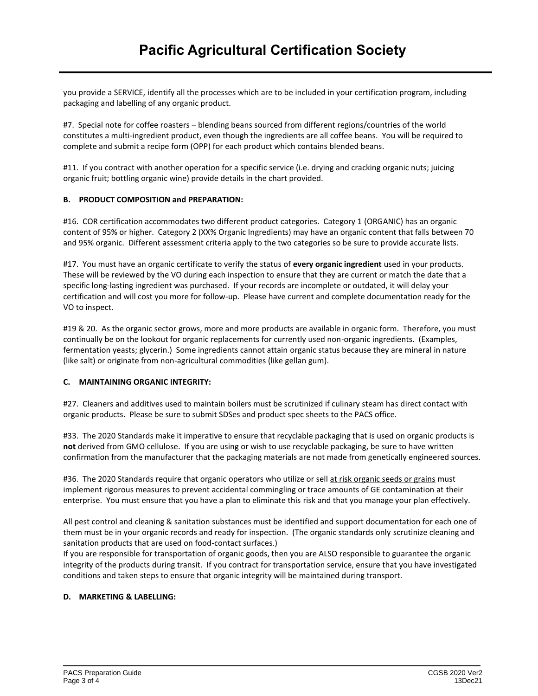you provide a SERVICE, identify all the processes which are to be included in your certification program, including packaging and labelling of any organic product.

#7. Special note for coffee roasters – blending beans sourced from different regions/countries of the world constitutes a multi-ingredient product, even though the ingredients are all coffee beans. You will be required to complete and submit a recipe form (OPP) for each product which contains blended beans.

#11. If you contract with another operation for a specific service (i.e. drying and cracking organic nuts; juicing organic fruit; bottling organic wine) provide details in the chart provided.

# **B. PRODUCT COMPOSITION and PREPARATION:**

#16. COR certification accommodates two different product categories. Category 1 (ORGANIC) has an organic content of 95% or higher. Category 2 (XX% Organic Ingredients) may have an organic content that falls between 70 and 95% organic. Different assessment criteria apply to the two categories so be sure to provide accurate lists.

#17. You must have an organic certificate to verify the status of **every organic ingredient** used in your products. These will be reviewed by the VO during each inspection to ensure that they are current or match the date that a specific long-lasting ingredient was purchased. If your records are incomplete or outdated, it will delay your certification and will cost you more for follow-up. Please have current and complete documentation ready for the VO to inspect.

#19 & 20. As the organic sector grows, more and more products are available in organic form. Therefore, you must continually be on the lookout for organic replacements for currently used non-organic ingredients. (Examples, fermentation yeasts; glycerin.) Some ingredients cannot attain organic status because they are mineral in nature (like salt) or originate from non-agricultural commodities (like gellan gum).

# **C. MAINTAINING ORGANIC INTEGRITY:**

#27. Cleaners and additives used to maintain boilers must be scrutinized if culinary steam has direct contact with organic products. Please be sure to submit SDSes and product spec sheets to the PACS office.

#33. The 2020 Standards make it imperative to ensure that recyclable packaging that is used on organic products is **not** derived from GMO cellulose. If you are using or wish to use recyclable packaging, be sure to have written confirmation from the manufacturer that the packaging materials are not made from genetically engineered sources.

#36. The 2020 Standards require that organic operators who utilize or sell at risk organic seeds or grains must implement rigorous measures to prevent accidental commingling or trace amounts of GE contamination at their enterprise. You must ensure that you have a plan to eliminate this risk and that you manage your plan effectively.

All pest control and cleaning & sanitation substances must be identified and support documentation for each one of them must be in your organic records and ready for inspection. (The organic standards only scrutinize cleaning and sanitation products that are used on food-contact surfaces.)

If you are responsible for transportation of organic goods, then you are ALSO responsible to guarantee the organic integrity of the products during transit. If you contract for transportation service, ensure that you have investigated conditions and taken steps to ensure that organic integrity will be maintained during transport.

# **D. MARKETING & LABELLING:**